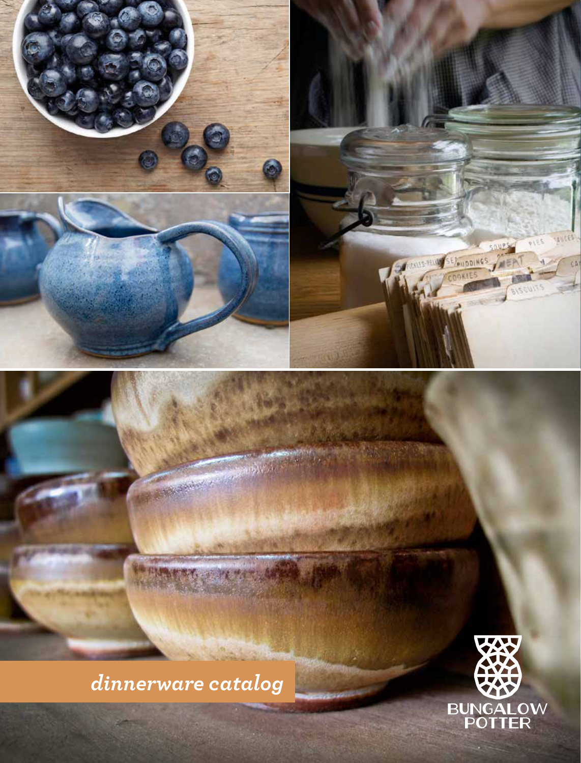

*dinnerware catalog*

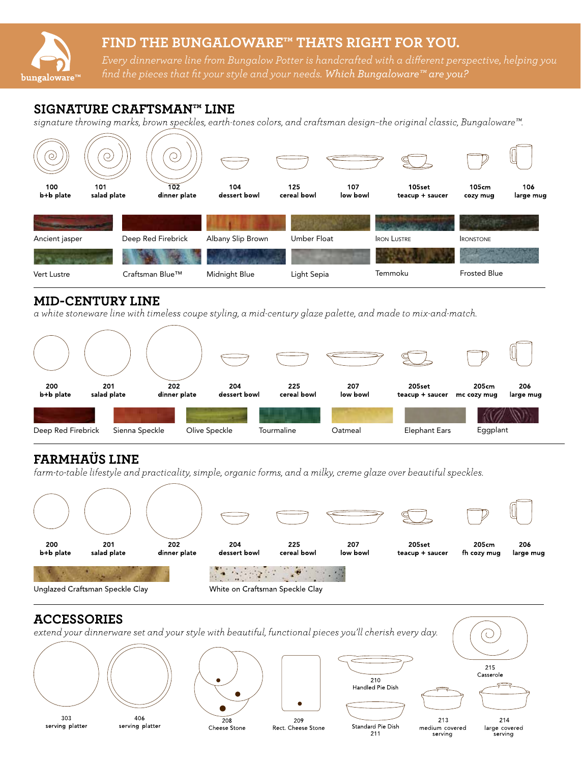# FIND THE BUNGALOWARE™ THATS RIGHT FOR YOU.

Every dinnerware line from Bungalow Potter is handcrafted with a different perspective, helping you find the pieces that fit your style and your needs. Which Bungaloware™ are you?

## SIGNATURE CRAFTSMAN™ LINE

 $b$ ungaloware $T^M$ 

signature throwing marks, brown speckles, earth-tones colors, and craftsman design-the original classic, Bungaloware<sup>™</sup>.



### **MID-CENTURY LINE**

a white stoneware line with timeless coupe styling, a mid-century glaze palette, and made to mix-and-match.



# FARMHAÜS LINE

farm-to-table lifestyle and practicality, simple, organic forms, and a milky, creme glaze over beautiful speckles.



# **ACCESSORIES**



211

serving

serving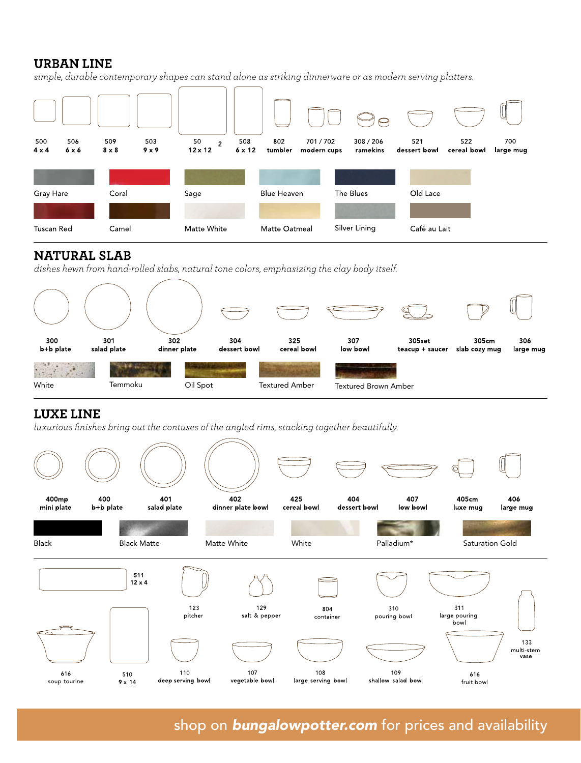### **URBAN LINE**

simple, durable contemporary shapes can stand alone as striking dinnerware or as modern serving platters.



## **NATURAL SLAB**

dishes hewn from hand-rolled slabs, natural tone colors, emphasizing the clay body itself.



# **LUXE LINE**

luxurious finishes bring out the contuses of the angled rims, stacking together beautifully.



shop on **bungalowpotter.com** for prices and availability